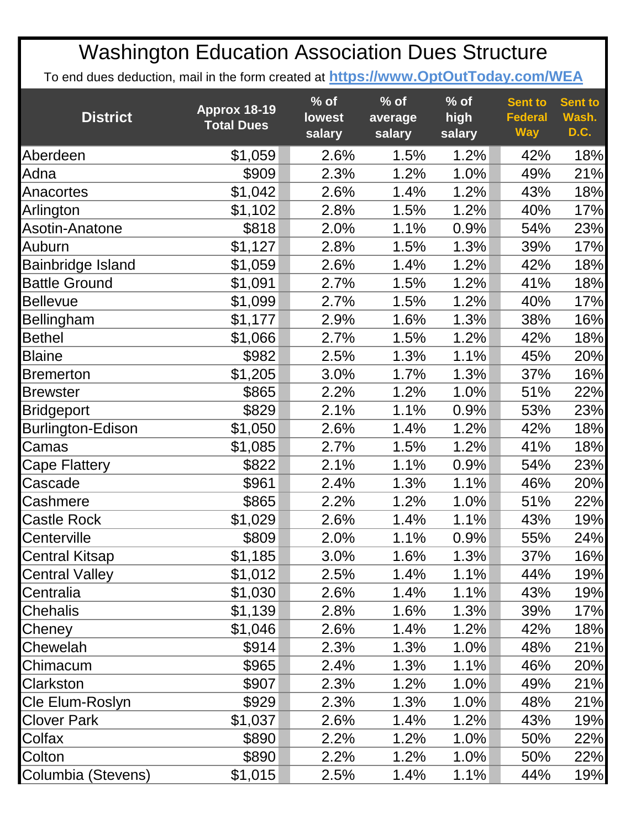| <b>District</b>          | Approx 18-19<br><b>Total Dues</b> | $%$ of<br>lowest<br>salary | $%$ of<br>average<br>salary | $%$ of<br>high<br>salary | <b>Sent to</b><br><b>Federal</b><br><b>Way</b> | <b>Sent to</b><br>Wash.<br>D.C. |
|--------------------------|-----------------------------------|----------------------------|-----------------------------|--------------------------|------------------------------------------------|---------------------------------|
| Aberdeen                 | \$1,059                           | 2.6%                       | 1.5%                        | 1.2%                     | 42%                                            | 18%                             |
| Adna                     | \$909                             | 2.3%                       | 1.2%                        | 1.0%                     | 49%                                            | 21%                             |
| Anacortes                | \$1,042                           | 2.6%                       | 1.4%                        | 1.2%                     | 43%                                            | 18%                             |
| Arlington                | \$1,102                           | 2.8%                       | 1.5%                        | 1.2%                     | 40%                                            | 17%                             |
| <b>Asotin-Anatone</b>    | \$818                             | 2.0%                       | 1.1%                        | 0.9%                     | 54%                                            | 23%                             |
| Auburn                   | \$1,127                           | 2.8%                       | 1.5%                        | 1.3%                     | 39%                                            | 17%                             |
| Bainbridge Island        | \$1,059                           | 2.6%                       | 1.4%                        | 1.2%                     | 42%                                            | 18%                             |
| <b>Battle Ground</b>     | \$1,091                           | 2.7%                       | 1.5%                        | 1.2%                     | 41%                                            | 18%                             |
| <b>Bellevue</b>          | \$1,099                           | 2.7%                       | 1.5%                        | 1.2%                     | 40%                                            | 17%                             |
| Bellingham               | \$1,177                           | 2.9%                       | 1.6%                        | 1.3%                     | 38%                                            | 16%                             |
| <b>Bethel</b>            | \$1,066                           | 2.7%                       | 1.5%                        | 1.2%                     | 42%                                            | 18%                             |
| <b>Blaine</b>            | \$982                             | 2.5%                       | 1.3%                        | 1.1%                     | 45%                                            | 20%                             |
| <b>Bremerton</b>         | \$1,205                           | 3.0%                       | 1.7%                        | 1.3%                     | 37%                                            | 16%                             |
| <b>Brewster</b>          | \$865                             | 2.2%                       | 1.2%                        | 1.0%                     | 51%                                            | 22%                             |
| <b>Bridgeport</b>        | \$829                             | 2.1%                       | 1.1%                        | 0.9%                     | 53%                                            | 23%                             |
| <b>Burlington-Edison</b> | \$1,050                           | 2.6%                       | 1.4%                        | 1.2%                     | 42%                                            | 18%                             |
| Camas                    | \$1,085                           | 2.7%                       | 1.5%                        | 1.2%                     | 41%                                            | 18%                             |
| Cape Flattery            | \$822                             | 2.1%                       | 1.1%                        | 0.9%                     | 54%                                            | 23%                             |
| Cascade                  | \$961                             | 2.4%                       | 1.3%                        | 1.1%                     | 46%                                            | 20%                             |
| Cashmere                 | \$865                             | 2.2%                       | 1.2%                        | 1.0%                     | 51%                                            | 22%                             |
| <b>Castle Rock</b>       | \$1,029                           | 2.6%                       | 1.4%                        | 1.1%                     | 43%                                            | 19%                             |
| Centerville              | \$809                             | 2.0%                       | 1.1%                        | 0.9%                     | 55%                                            | 24%                             |
| <b>Central Kitsap</b>    | \$1,185                           | 3.0%                       | 1.6%                        | 1.3%                     | 37%                                            | 16%                             |
| <b>Central Valley</b>    | \$1,012                           | 2.5%                       | 1.4%                        | 1.1%                     | 44%                                            | 19%                             |
| Centralia                | \$1,030                           | 2.6%                       | 1.4%                        | 1.1%                     | 43%                                            | 19%                             |
| Chehalis                 | \$1,139                           | 2.8%                       | 1.6%                        | 1.3%                     | 39%                                            | 17%                             |
| Cheney                   | \$1,046                           | 2.6%                       | 1.4%                        | 1.2%                     | 42%                                            | 18%                             |
| Chewelah                 | \$914                             | 2.3%                       | 1.3%                        | $1.0\%$                  | 48%                                            | 21%                             |
| Chimacum                 | \$965                             | 2.4%                       | 1.3%                        | 1.1%                     | 46%                                            | 20%                             |
| Clarkston                | \$907                             | 2.3%                       | 1.2%                        | 1.0%                     | 49%                                            | 21%                             |
| Cle Elum-Roslyn          | \$929                             | 2.3%                       | 1.3%                        | 1.0%                     | 48%                                            | 21%                             |
| <b>Clover Park</b>       | \$1,037                           | 2.6%                       | 1.4%                        | 1.2%                     | 43%                                            | 19%                             |
| Colfax                   | \$890                             | 2.2%                       | 1.2%                        | 1.0%                     | 50%                                            | 22%                             |
| Colton                   | \$890                             | 2.2%                       | 1.2%                        | 1.0%                     | 50%                                            | 22%                             |
| Columbia (Stevens)       | \$1,015                           | 2.5%                       | 1.4%                        | 1.1%                     | 44%                                            | 19%                             |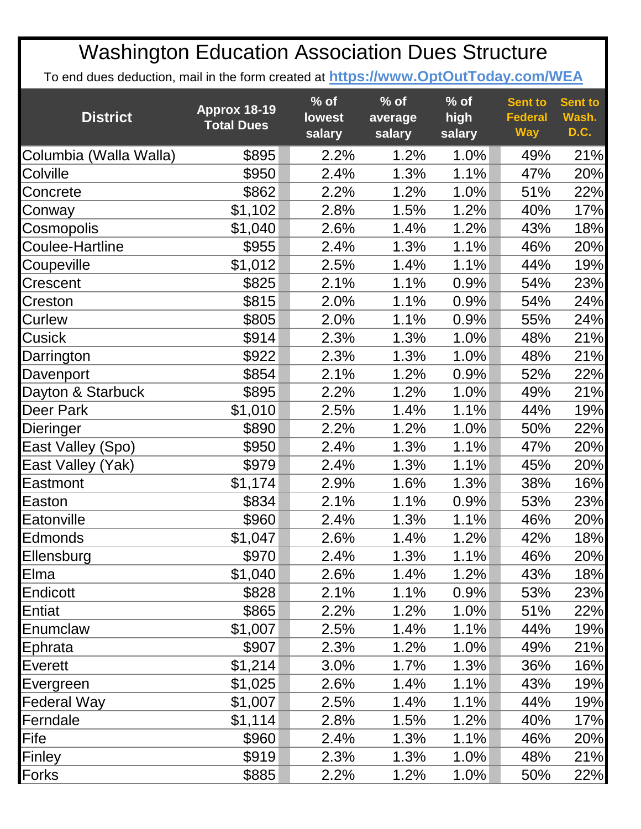| <b>District</b>        | Approx 18-19<br><b>Total Dues</b> | $%$ of<br><b>lowest</b><br>salary | $%$ of<br>average<br>salary | $%$ of<br>high<br>salary | <b>Sent to</b><br><b>Federal</b><br><b>Way</b> | <b>Sent to</b><br>Wash.<br>D.C. |
|------------------------|-----------------------------------|-----------------------------------|-----------------------------|--------------------------|------------------------------------------------|---------------------------------|
| Columbia (Walla Walla) | \$895                             | 2.2%                              | 1.2%                        | 1.0%                     | 49%                                            | 21%                             |
| Colville               | \$950                             | 2.4%                              | 1.3%                        | 1.1%                     | 47%                                            | 20%                             |
| Concrete               | \$862                             | 2.2%                              | 1.2%                        | 1.0%                     | 51%                                            | 22%                             |
| Conway                 | \$1,102                           | 2.8%                              | 1.5%                        | 1.2%                     | 40%                                            | 17%                             |
| Cosmopolis             | \$1,040                           | 2.6%                              | 1.4%                        | 1.2%                     | 43%                                            | 18%                             |
| Coulee-Hartline        | \$955                             | 2.4%                              | 1.3%                        | 1.1%                     | 46%                                            | 20%                             |
| Coupeville             | \$1,012                           | 2.5%                              | 1.4%                        | 1.1%                     | 44%                                            | 19%                             |
| Crescent               | \$825                             | 2.1%                              | 1.1%                        | 0.9%                     | 54%                                            | 23%                             |
| Creston                | \$815                             | 2.0%                              | 1.1%                        | 0.9%                     | 54%                                            | 24%                             |
| Curlew                 | \$805                             | 2.0%                              | 1.1%                        | 0.9%                     | 55%                                            | 24%                             |
| Cusick                 | \$914                             | 2.3%                              | 1.3%                        | 1.0%                     | 48%                                            | 21%                             |
| Darrington             | \$922                             | 2.3%                              | 1.3%                        | 1.0%                     | 48%                                            | 21%                             |
| Davenport              | \$854                             | 2.1%                              | 1.2%                        | 0.9%                     | 52%                                            | 22%                             |
| Dayton & Starbuck      | \$895                             | 2.2%                              | 1.2%                        | 1.0%                     | 49%                                            | 21%                             |
| Deer Park              | \$1,010                           | 2.5%                              | 1.4%                        | 1.1%                     | 44%                                            | 19%                             |
| Dieringer              | \$890                             | 2.2%                              | 1.2%                        | 1.0%                     | 50%                                            | 22%                             |
| East Valley (Spo)      | \$950                             | 2.4%                              | 1.3%                        | 1.1%                     | 47%                                            | 20%                             |
| East Valley (Yak)      | \$979                             | 2.4%                              | 1.3%                        | 1.1%                     | 45%                                            | 20%                             |
| Eastmont               | \$1,174                           | 2.9%                              | 1.6%                        | 1.3%                     | 38%                                            | 16%                             |
| Easton                 | \$834                             | 2.1%                              | 1.1%                        | 0.9%                     | 53%                                            | 23%                             |
| Eatonville             | \$960                             | 2.4%                              | 1.3%                        | 1.1%                     | 46%                                            | 20%                             |
| <b>Edmonds</b>         | \$1,047                           | 2.6%                              | 1.4%                        | 1.2%                     | 42%                                            | 18%                             |
| Ellensburg             | \$970                             | 2.4%                              | 1.3%                        | 1.1%                     | 46%                                            | 20%                             |
| Elma                   | \$1,040                           | 2.6%                              | 1.4%                        | 1.2%                     | 43%                                            | 18%                             |
| Endicott               | \$828                             | 2.1%                              | 1.1%                        | 0.9%                     | 53%                                            | 23%                             |
| Entiat                 | \$865                             | 2.2%                              | 1.2%                        | 1.0%                     | 51%                                            | 22%                             |
| Enumclaw               | \$1,007                           | 2.5%                              | 1.4%                        | 1.1%                     | 44%                                            | 19%                             |
| Ephrata                | \$907                             | 2.3%                              | 1.2%                        | 1.0%                     | 49%                                            | 21%                             |
| Everett                | \$1,214                           | 3.0%                              | 1.7%                        | 1.3%                     | 36%                                            | 16%                             |
| Evergreen              | \$1,025                           | 2.6%                              | 1.4%                        | 1.1%                     | 43%                                            | 19%                             |
| <b>Federal Way</b>     | \$1,007                           | 2.5%                              | 1.4%                        | 1.1%                     | 44%                                            | 19%                             |
| Ferndale               | \$1,114                           | 2.8%                              | 1.5%                        | 1.2%                     | 40%                                            | 17%                             |
| Fife                   | \$960                             | 2.4%                              | 1.3%                        | 1.1%                     | 46%                                            | 20%                             |
| Finley                 | \$919                             | 2.3%                              | 1.3%                        | 1.0%                     | 48%                                            | 21%                             |
| Forks                  | \$885                             | 2.2%                              | 1.2%                        | 1.0%                     | 50%                                            | 22%                             |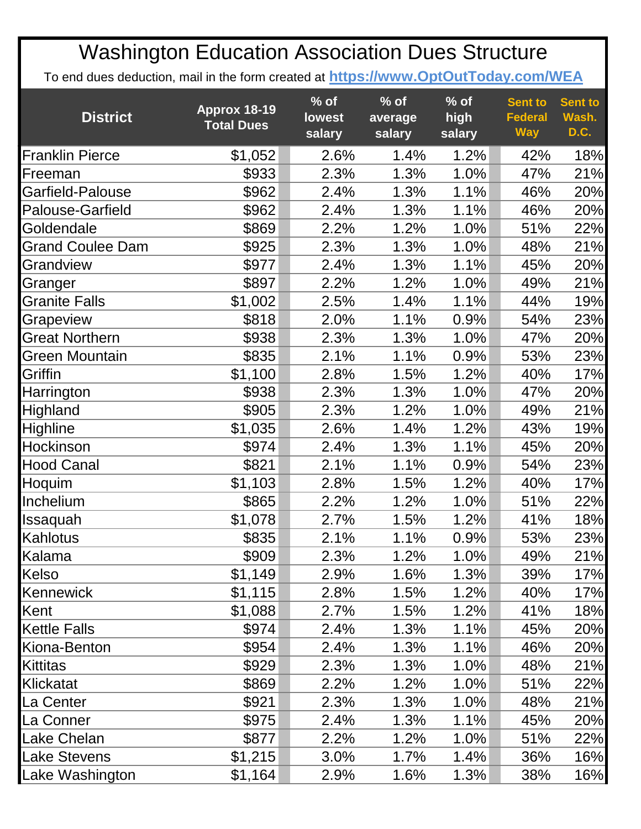| <b>District</b>         | Approx 18-19<br><b>Total Dues</b> | $%$ of<br><b>lowest</b><br>salary | $%$ of<br>average<br>salary | $%$ of<br>high<br>salary | <b>Sent to</b><br><b>Federal</b><br><b>Way</b> | <b>Sent to</b><br>Wash.<br>D.C. |
|-------------------------|-----------------------------------|-----------------------------------|-----------------------------|--------------------------|------------------------------------------------|---------------------------------|
| <b>Franklin Pierce</b>  | \$1,052                           | 2.6%                              | 1.4%                        | 1.2%                     | 42%                                            | 18%                             |
| Freeman                 | \$933                             | 2.3%                              | 1.3%                        | 1.0%                     | 47%                                            | 21%                             |
| Garfield-Palouse        | \$962                             | 2.4%                              | 1.3%                        | 1.1%                     | 46%                                            | 20%                             |
| Palouse-Garfield        | \$962                             | 2.4%                              | 1.3%                        | 1.1%                     | 46%                                            | 20%                             |
| Goldendale              | \$869                             | 2.2%                              | 1.2%                        | 1.0%                     | 51%                                            | 22%                             |
| <b>Grand Coulee Dam</b> | \$925                             | 2.3%                              | 1.3%                        | 1.0%                     | 48%                                            | 21%                             |
| Grandview               | \$977                             | 2.4%                              | 1.3%                        | 1.1%                     | 45%                                            | 20%                             |
| Granger                 | \$897                             | 2.2%                              | 1.2%                        | 1.0%                     | 49%                                            | 21%                             |
| <b>Granite Falls</b>    | \$1,002                           | 2.5%                              | 1.4%                        | 1.1%                     | 44%                                            | 19%                             |
| Grapeview               | \$818                             | 2.0%                              | 1.1%                        | 0.9%                     | 54%                                            | 23%                             |
| <b>Great Northern</b>   | \$938                             | 2.3%                              | 1.3%                        | 1.0%                     | 47%                                            | 20%                             |
| Green Mountain          | \$835                             | 2.1%                              | 1.1%                        | 0.9%                     | 53%                                            | 23%                             |
| Griffin                 | \$1,100                           | 2.8%                              | 1.5%                        | 1.2%                     | 40%                                            | 17%                             |
| Harrington              | \$938                             | 2.3%                              | 1.3%                        | 1.0%                     | 47%                                            | 20%                             |
| Highland                | \$905                             | 2.3%                              | 1.2%                        | 1.0%                     | 49%                                            | 21%                             |
| Highline                | \$1,035                           | 2.6%                              | 1.4%                        | 1.2%                     | 43%                                            | 19%                             |
| Hockinson               | \$974                             | 2.4%                              | 1.3%                        | 1.1%                     | 45%                                            | 20%                             |
| <b>Hood Canal</b>       | \$821                             | 2.1%                              | 1.1%                        | 0.9%                     | 54%                                            | 23%                             |
| Hoquim                  | \$1,103                           | 2.8%                              | 1.5%                        | 1.2%                     | 40%                                            | 17%                             |
| Inchelium               | \$865                             | 2.2%                              | 1.2%                        | 1.0%                     | 51%                                            | 22%                             |
| Issaquah                | \$1,078                           | 2.7%                              | 1.5%                        | 1.2%                     | 41%                                            | 18%                             |
| Kahlotus                | \$835                             | 2.1%                              | 1.1%                        | 0.9%                     | 53%                                            | 23%                             |
| Kalama                  | \$909                             | 2.3%                              | 1.2%                        | 1.0%                     | 49%                                            | 21%                             |
| Kelso                   | \$1,149                           | 2.9%                              | 1.6%                        | 1.3%                     | 39%                                            | 17%                             |
| Kennewick               | \$1,115                           | 2.8%                              | 1.5%                        | 1.2%                     | 40%                                            | 17%                             |
| Kent                    | \$1,088                           | 2.7%                              | 1.5%                        | 1.2%                     | 41%                                            | 18%                             |
| <b>Kettle Falls</b>     | \$974                             | 2.4%                              | 1.3%                        | 1.1%                     | 45%                                            | 20%                             |
| Kiona-Benton            | \$954                             | 2.4%                              | 1.3%                        | 1.1%                     | 46%                                            | 20%                             |
| <b>Kittitas</b>         | \$929                             | 2.3%                              | 1.3%                        | 1.0%                     | 48%                                            | 21%                             |
| Klickatat               | \$869                             | 2.2%                              | 1.2%                        | 1.0%                     | 51%                                            | 22%                             |
| La Center               | \$921                             | 2.3%                              | 1.3%                        | 1.0%                     | 48%                                            | 21%                             |
| La Conner               | \$975                             | 2.4%                              | 1.3%                        | 1.1%                     | 45%                                            | 20%                             |
| Lake Chelan             | \$877                             | 2.2%                              | 1.2%                        | 1.0%                     | 51%                                            | 22%                             |
| <b>Lake Stevens</b>     | \$1,215                           | 3.0%                              | 1.7%                        | 1.4%                     | 36%                                            | 16%                             |
| Lake Washington         | \$1,164                           | 2.9%                              | 1.6%                        | 1.3%                     | 38%                                            | 16%                             |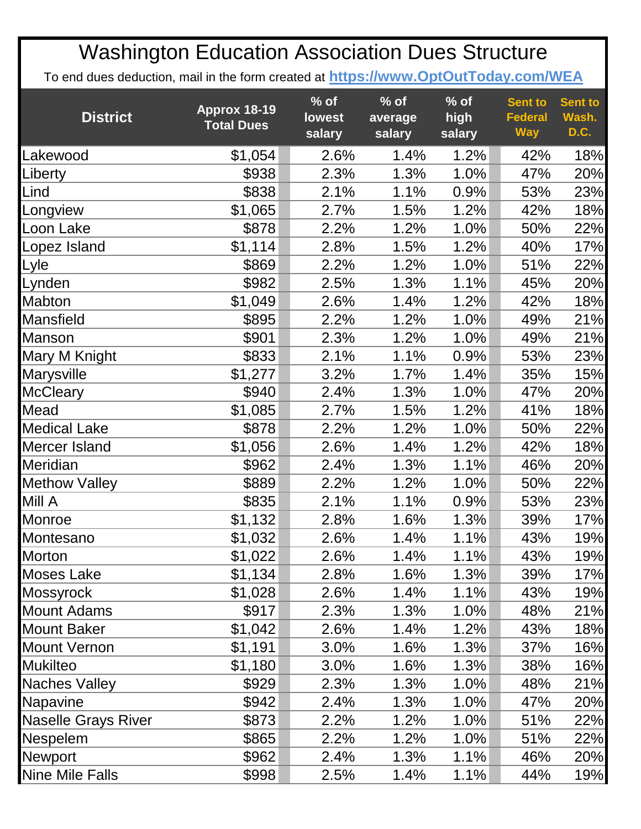| <b>District</b>            | Approx 18-19<br><b>Total Dues</b> | $%$ of<br><b>lowest</b><br>salary | $%$ of<br>average<br>salary | $%$ of<br>high<br>salary | <b>Sent to</b><br><b>Federal</b><br><b>Way</b> | <b>Sent to</b><br>Wash.<br>D.C. |
|----------------------------|-----------------------------------|-----------------------------------|-----------------------------|--------------------------|------------------------------------------------|---------------------------------|
| Lakewood                   | \$1,054                           | 2.6%                              | 1.4%                        | 1.2%                     | 42%                                            | 18%                             |
| Liberty                    | \$938                             | 2.3%                              | 1.3%                        | 1.0%                     | 47%                                            | 20%                             |
| Lind                       | \$838                             | 2.1%                              | 1.1%                        | 0.9%                     | 53%                                            | 23%                             |
| Longview                   | \$1,065                           | 2.7%                              | 1.5%                        | 1.2%                     | 42%                                            | 18%                             |
| Loon Lake                  | \$878                             | 2.2%                              | 1.2%                        | 1.0%                     | 50%                                            | 22%                             |
| Lopez Island               | \$1,114                           | 2.8%                              | 1.5%                        | 1.2%                     | 40%                                            | 17%                             |
| Lyle                       | \$869                             | 2.2%                              | 1.2%                        | 1.0%                     | 51%                                            | 22%                             |
| Lynden                     | \$982                             | 2.5%                              | 1.3%                        | 1.1%                     | 45%                                            | 20%                             |
| Mabton                     | \$1,049                           | 2.6%                              | 1.4%                        | 1.2%                     | 42%                                            | 18%                             |
| <b>Mansfield</b>           | \$895                             | 2.2%                              | 1.2%                        | 1.0%                     | 49%                                            | 21%                             |
| Manson                     | \$901                             | 2.3%                              | 1.2%                        | 1.0%                     | 49%                                            | 21%                             |
| Mary M Knight              | \$833                             | 2.1%                              | 1.1%                        | 0.9%                     | 53%                                            | 23%                             |
| Marysville                 | \$1,277                           | 3.2%                              | 1.7%                        | 1.4%                     | 35%                                            | 15%                             |
| <b>McCleary</b>            | \$940                             | 2.4%                              | 1.3%                        | 1.0%                     | 47%                                            | 20%                             |
| Mead                       | \$1,085                           | 2.7%                              | 1.5%                        | 1.2%                     | 41%                                            | 18%                             |
| <b>Medical Lake</b>        | \$878                             | 2.2%                              | 1.2%                        | 1.0%                     | 50%                                            | 22%                             |
| Mercer Island              | \$1,056                           | 2.6%                              | 1.4%                        | 1.2%                     | 42%                                            | 18%                             |
| Meridian                   | \$962                             | 2.4%                              | 1.3%                        | 1.1%                     | 46%                                            | 20%                             |
| <b>Methow Valley</b>       | \$889                             | 2.2%                              | 1.2%                        | 1.0%                     | 50%                                            | 22%                             |
| Mill A                     | \$835                             | 2.1%                              | 1.1%                        | 0.9%                     | 53%                                            | 23%                             |
| Monroe                     | \$1,132                           | 2.8%                              | 1.6%                        | 1.3%                     | 39%                                            | 17%                             |
| Montesano                  | \$1,032                           | 2.6%                              | 1.4%                        | 1.1%                     | 43%                                            | 19%                             |
| Morton                     | \$1,022                           | 2.6%                              | 1.4%                        | 1.1%                     | 43%                                            | 19%                             |
| Moses Lake                 | \$1,134                           | 2.8%                              | 1.6%                        | 1.3%                     | 39%                                            | 17%                             |
| <b>Mossyrock</b>           | \$1,028                           | 2.6%                              | 1.4%                        | 1.1%                     | 43%                                            | 19%                             |
| <b>Mount Adams</b>         | \$917                             | 2.3%                              | 1.3%                        | 1.0%                     | 48%                                            | 21%                             |
| <b>Mount Baker</b>         | \$1,042                           | 2.6%                              | 1.4%                        | 1.2%                     | 43%                                            | 18%                             |
| <b>Mount Vernon</b>        | \$1,191                           | 3.0%                              | 1.6%                        | 1.3%                     | 37%                                            | 16%                             |
| <b>Mukilteo</b>            | \$1,180                           | 3.0%                              | 1.6%                        | 1.3%                     | 38%                                            | 16%                             |
| <b>Naches Valley</b>       | \$929                             | 2.3%                              | 1.3%                        | 1.0%                     | 48%                                            | 21%                             |
| Napavine                   | \$942                             | 2.4%                              | 1.3%                        | 1.0%                     | 47%                                            | 20%                             |
| <b>Naselle Grays River</b> | \$873                             | 2.2%                              | 1.2%                        | 1.0%                     | 51%                                            | 22%                             |
| Nespelem                   | \$865                             | 2.2%                              | 1.2%                        | 1.0%                     | 51%                                            | 22%                             |
| <b>Newport</b>             | \$962                             | 2.4%                              | 1.3%                        | 1.1%                     | 46%                                            | 20%                             |
| Nine Mile Falls            | \$998                             | 2.5%                              | 1.4%                        | 1.1%                     | 44%                                            | 19%                             |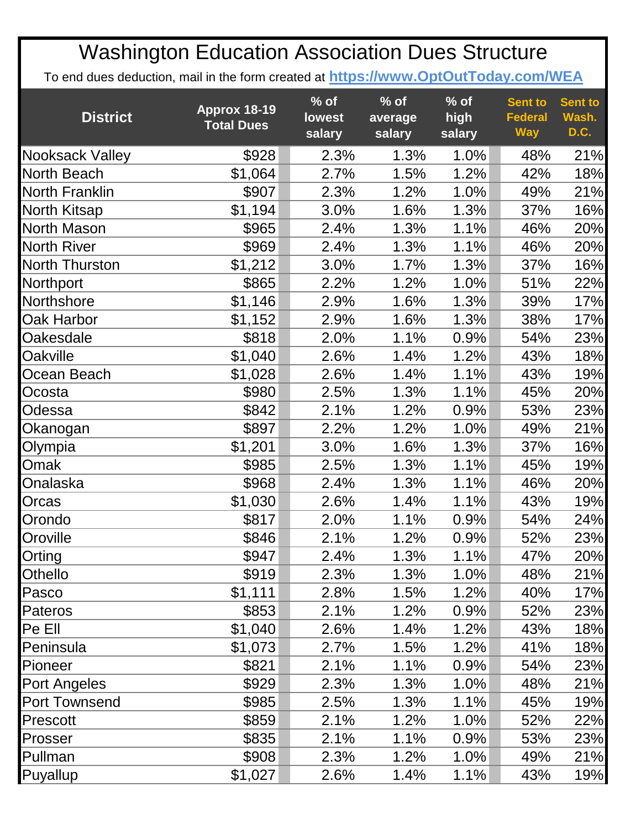| <b>District</b>    | Approx 18-19<br><b>Total Dues</b> | $\frac{9}{6}$ of<br><b>lowest</b><br>salary | $%$ of<br>average<br>salary | $%$ of<br>high<br>salary | <b>Sent to</b><br><b>Federal</b><br><b>Way</b> | <b>Sent to</b><br>Wash.<br>D.C. |
|--------------------|-----------------------------------|---------------------------------------------|-----------------------------|--------------------------|------------------------------------------------|---------------------------------|
| Nooksack Valley    | \$928                             | 2.3%                                        | 1.3%                        | 1.0%                     | 48%                                            | 21%                             |
| North Beach        | \$1,064                           | 2.7%                                        | 1.5%                        | 1.2%                     | 42%                                            | 18%                             |
| North Franklin     | \$907                             | 2.3%                                        | 1.2%                        | 1.0%                     | 49%                                            | 21%                             |
| North Kitsap       | \$1,194                           | 3.0%                                        | 1.6%                        | 1.3%                     | 37%                                            | 16%                             |
| North Mason        | \$965                             | 2.4%                                        | 1.3%                        | 1.1%                     | 46%                                            | 20%                             |
| <b>North River</b> | \$969                             | 2.4%                                        | 1.3%                        | 1.1%                     | 46%                                            | 20%                             |
| North Thurston     | \$1,212                           | 3.0%                                        | 1.7%                        | 1.3%                     | 37%                                            | 16%                             |
| Northport          | \$865                             | 2.2%                                        | 1.2%                        | 1.0%                     | 51%                                            | 22%                             |
| Northshore         | \$1,146                           | 2.9%                                        | 1.6%                        | 1.3%                     | 39%                                            | 17%                             |
| Oak Harbor         | \$1,152                           | 2.9%                                        | 1.6%                        | 1.3%                     | 38%                                            | 17%                             |
| Oakesdale          | \$818                             | 2.0%                                        | 1.1%                        | 0.9%                     | 54%                                            | 23%                             |
| <b>Oakville</b>    | \$1,040                           | 2.6%                                        | 1.4%                        | 1.2%                     | 43%                                            | 18%                             |
| Ocean Beach        | \$1,028                           | 2.6%                                        | 1.4%                        | 1.1%                     | 43%                                            | 19%                             |
| Ocosta             | \$980                             | 2.5%                                        | 1.3%                        | 1.1%                     | 45%                                            | 20%                             |
| Odessa             | \$842                             | 2.1%                                        | 1.2%                        | 0.9%                     | 53%                                            | 23%                             |
| Okanogan           | \$897                             | 2.2%                                        | 1.2%                        | 1.0%                     | 49%                                            | 21%                             |
| Olympia            | \$1,201                           | 3.0%                                        | 1.6%                        | 1.3%                     | 37%                                            | 16%                             |
| Omak               | \$985                             | 2.5%                                        | 1.3%                        | 1.1%                     | 45%                                            | 19%                             |
| Onalaska           | \$968                             | 2.4%                                        | 1.3%                        | 1.1%                     | 46%                                            | 20%                             |
| Orcas              | \$1,030                           | 2.6%                                        | 1.4%                        | 1.1%                     | 43%                                            | 19%                             |
| Orondo             | \$817                             | 2.0%                                        | 1.1%                        | 0.9%                     | 54%                                            | 24%                             |
| Oroville           | \$846                             | 2.1%                                        | 1.2%                        | 0.9%                     | 52%                                            | 23%                             |
| Orting             | \$947                             | 2.4%                                        | 1.3%                        | 1.1%                     | 47%                                            | 20%                             |
| Othello            | \$919                             | 2.3%                                        | 1.3%                        | 1.0%                     | 48%                                            | 21%                             |
| Pasco              | \$1,111                           | 2.8%                                        | 1.5%                        | 1.2%                     | 40%                                            | 17%                             |
| Pateros            | \$853                             | 2.1%                                        | 1.2%                        | 0.9%                     | 52%                                            | 23%                             |
| Pe Ell             | \$1,040                           | 2.6%                                        | 1.4%                        | 1.2%                     | 43%                                            | 18%                             |
| Peninsula          | \$1,073                           | 2.7%                                        | 1.5%                        | 1.2%                     | 41%                                            | 18%                             |
| Pioneer            | \$821                             | 2.1%                                        | 1.1%                        | 0.9%                     | 54%                                            | 23%                             |
| Port Angeles       | \$929                             | 2.3%                                        | 1.3%                        | 1.0%                     | 48%                                            | 21%                             |
| Port Townsend      | \$985                             | 2.5%                                        | 1.3%                        | 1.1%                     | 45%                                            | 19%                             |
| <b>Prescott</b>    | \$859                             | 2.1%                                        | 1.2%                        | $1.0\%$                  | 52%                                            | 22%                             |
| Prosser            | \$835                             | 2.1%                                        | 1.1%                        | 0.9%                     | 53%                                            | 23%                             |
| Pullman            | \$908                             | 2.3%                                        | 1.2%                        | 1.0%                     | 49%                                            | 21%                             |
| Puyallup           | \$1,027                           | 2.6%                                        | 1.4%                        | 1.1%                     | 43%                                            | 19%                             |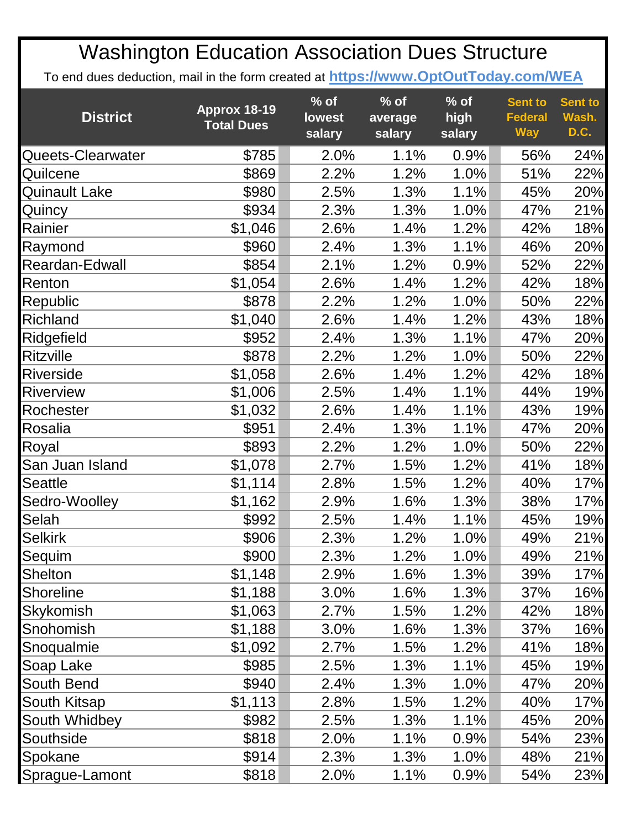| <b>District</b>      | <b>Approx 18-19</b><br><b>Total Dues</b> | $%$ of<br><b>lowest</b><br>salary | $%$ of<br>average<br>salary | $%$ of<br>high<br>salary | <b>Sent to</b><br><b>Federal</b><br><b>Way</b> | <b>Sent to</b><br>Wash.<br>D.C. |
|----------------------|------------------------------------------|-----------------------------------|-----------------------------|--------------------------|------------------------------------------------|---------------------------------|
| Queets-Clearwater    | \$785                                    | 2.0%                              | 1.1%                        | 0.9%                     | 56%                                            | 24%                             |
| Quilcene             | \$869                                    | 2.2%                              | 1.2%                        | 1.0%                     | 51%                                            | 22%                             |
| <b>Quinault Lake</b> | \$980                                    | 2.5%                              | 1.3%                        | 1.1%                     | 45%                                            | 20%                             |
| Quincy               | \$934                                    | 2.3%                              | 1.3%                        | 1.0%                     | 47%                                            | 21%                             |
| Rainier              | \$1,046                                  | 2.6%                              | 1.4%                        | 1.2%                     | 42%                                            | 18%                             |
| Raymond              | \$960                                    | 2.4%                              | 1.3%                        | 1.1%                     | 46%                                            | 20%                             |
| Reardan-Edwall       | \$854                                    | 2.1%                              | 1.2%                        | 0.9%                     | 52%                                            | 22%                             |
| Renton               | \$1,054                                  | 2.6%                              | 1.4%                        | 1.2%                     | 42%                                            | 18%                             |
| Republic             | \$878                                    | 2.2%                              | 1.2%                        | 1.0%                     | 50%                                            | 22%                             |
| Richland             | \$1,040                                  | 2.6%                              | 1.4%                        | 1.2%                     | 43%                                            | 18%                             |
| Ridgefield           | \$952                                    | 2.4%                              | 1.3%                        | 1.1%                     | 47%                                            | 20%                             |
| <b>Ritzville</b>     | \$878                                    | 2.2%                              | 1.2%                        | 1.0%                     | 50%                                            | 22%                             |
| <b>Riverside</b>     | \$1,058                                  | 2.6%                              | 1.4%                        | 1.2%                     | 42%                                            | 18%                             |
| <b>Riverview</b>     | \$1,006                                  | 2.5%                              | 1.4%                        | 1.1%                     | 44%                                            | 19%                             |
| Rochester            | \$1,032                                  | 2.6%                              | 1.4%                        | 1.1%                     | 43%                                            | 19%                             |
| Rosalia              | \$951                                    | 2.4%                              | 1.3%                        | 1.1%                     | 47%                                            | 20%                             |
| Royal                | \$893                                    | 2.2%                              | 1.2%                        | 1.0%                     | 50%                                            | 22%                             |
| San Juan Island      | \$1,078                                  | 2.7%                              | 1.5%                        | 1.2%                     | 41%                                            | 18%                             |
| <b>Seattle</b>       | \$1,114                                  | 2.8%                              | 1.5%                        | 1.2%                     | 40%                                            | 17%                             |
| Sedro-Woolley        | \$1,162                                  | 2.9%                              | 1.6%                        | 1.3%                     | 38%                                            | 17%                             |
| Selah                | \$992                                    | 2.5%                              | 1.4%                        | 1.1%                     | 45%                                            | 19%                             |
| <b>Selkirk</b>       | \$906                                    | 2.3%                              | 1.2%                        | 1.0%                     | 49%                                            | 21%                             |
| Sequim               | \$900                                    | 2.3%                              | 1.2%                        | 1.0%                     | 49%                                            | 21%                             |
| Shelton              | \$1,148                                  | 2.9%                              | 1.6%                        | 1.3%                     | 39%                                            | 17%                             |
| <b>Shoreline</b>     | \$1,188                                  | 3.0%                              | 1.6%                        | 1.3%                     | 37%                                            | 16%                             |
| Skykomish            | \$1,063                                  | 2.7%                              | 1.5%                        | 1.2%                     | 42%                                            | 18%                             |
| Snohomish            | \$1,188                                  | 3.0%                              | 1.6%                        | 1.3%                     | 37%                                            | 16%                             |
| Snoqualmie           | \$1,092                                  | 2.7%                              | 1.5%                        | 1.2%                     | 41%                                            | 18%                             |
| Soap Lake            | \$985                                    | 2.5%                              | 1.3%                        | 1.1%                     | 45%                                            | 19%                             |
| South Bend           | \$940                                    | 2.4%                              | 1.3%                        | 1.0%                     | 47%                                            | 20%                             |
| South Kitsap         | \$1,113                                  | 2.8%                              | 1.5%                        | 1.2%                     | 40%                                            | 17%                             |
| South Whidbey        | \$982                                    | 2.5%                              | 1.3%                        | 1.1%                     | 45%                                            | 20%                             |
| Southside            | \$818                                    | 2.0%                              | 1.1%                        | 0.9%                     | 54%                                            | 23%                             |
| Spokane              | \$914                                    | 2.3%                              | 1.3%                        | 1.0%                     | 48%                                            | 21%                             |
| Sprague-Lamont       | \$818                                    | 2.0%                              | 1.1%                        | 0.9%                     | 54%                                            | 23%                             |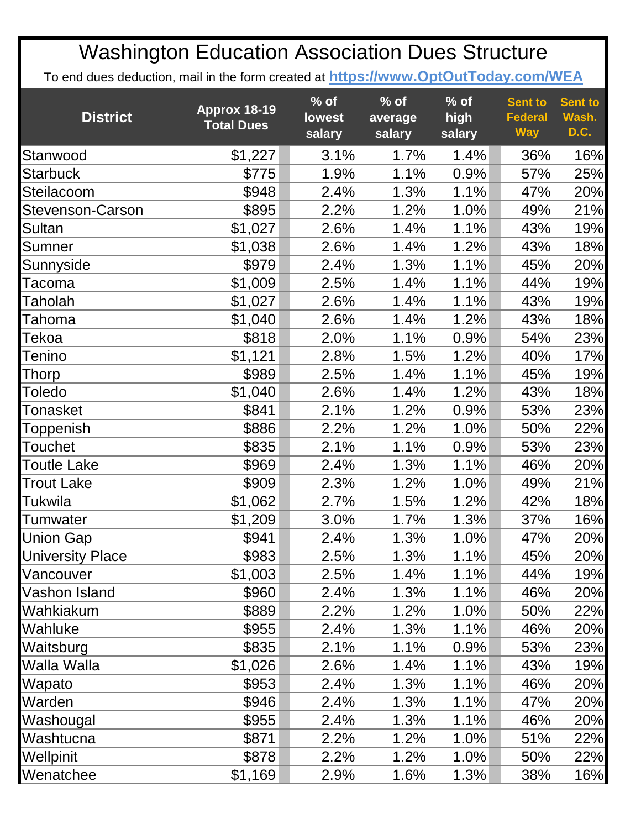| <b>District</b>         | Approx 18-19<br><b>Total Dues</b> | $%$ of<br><b>lowest</b><br>salary | $%$ of<br>average<br>salary | $%$ of<br>high<br>salary | <b>Sent to</b><br><b>Federal</b><br><b>Way</b> | <b>Sent to</b><br>Wash.<br>D.C. |
|-------------------------|-----------------------------------|-----------------------------------|-----------------------------|--------------------------|------------------------------------------------|---------------------------------|
| Stanwood                | \$1,227                           | 3.1%                              | 1.7%                        | 1.4%                     | 36%                                            | 16%                             |
| <b>Starbuck</b>         | \$775                             | 1.9%                              | 1.1%                        | 0.9%                     | 57%                                            | 25%                             |
| Steilacoom              | \$948                             | 2.4%                              | 1.3%                        | 1.1%                     | 47%                                            | 20%                             |
| Stevenson-Carson        | \$895                             | 2.2%                              | 1.2%                        | 1.0%                     | 49%                                            | 21%                             |
| Sultan                  | \$1,027                           | 2.6%                              | 1.4%                        | 1.1%                     | 43%                                            | 19%                             |
| Sumner                  | \$1,038                           | 2.6%                              | 1.4%                        | 1.2%                     | 43%                                            | 18%                             |
| Sunnyside               | \$979                             | 2.4%                              | 1.3%                        | 1.1%                     | 45%                                            | 20%                             |
| <b>Tacoma</b>           | \$1,009                           | 2.5%                              | 1.4%                        | 1.1%                     | 44%                                            | 19%                             |
| Taholah                 | \$1,027                           | 2.6%                              | 1.4%                        | 1.1%                     | 43%                                            | 19%                             |
| Tahoma                  | \$1,040                           | 2.6%                              | 1.4%                        | 1.2%                     | 43%                                            | 18%                             |
| Tekoa                   | \$818                             | 2.0%                              | 1.1%                        | 0.9%                     | 54%                                            | 23%                             |
| <b>Tenino</b>           | \$1,121                           | 2.8%                              | 1.5%                        | 1.2%                     | 40%                                            | 17%                             |
| Thorp                   | \$989                             | 2.5%                              | 1.4%                        | 1.1%                     | 45%                                            | 19%                             |
| Toledo                  | \$1,040                           | 2.6%                              | 1.4%                        | 1.2%                     | 43%                                            | 18%                             |
| Tonasket                | \$841                             | 2.1%                              | 1.2%                        | 0.9%                     | 53%                                            | 23%                             |
| Toppenish               | \$886                             | 2.2%                              | 1.2%                        | 1.0%                     | 50%                                            | 22%                             |
| <b>Touchet</b>          | \$835                             | 2.1%                              | 1.1%                        | 0.9%                     | 53%                                            | 23%                             |
| <b>Toutle Lake</b>      | \$969                             | 2.4%                              | 1.3%                        | 1.1%                     | 46%                                            | 20%                             |
| <b>Trout Lake</b>       | \$909                             | 2.3%                              | 1.2%                        | 1.0%                     | 49%                                            | 21%                             |
| Tukwila                 | \$1,062                           | 2.7%                              | 1.5%                        | 1.2%                     | 42%                                            | 18%                             |
| Tumwater                | \$1,209                           | 3.0%                              | 1.7%                        | 1.3%                     | 37%                                            | 16%                             |
| <b>Union Gap</b>        | \$941                             | 2.4%                              | 1.3%                        | 1.0%                     | 47%                                            | 20%                             |
| <b>University Place</b> | \$983                             | 2.5%                              | 1.3%                        | 1.1%                     | 45%                                            | 20%                             |
| Vancouver               | \$1,003                           | 2.5%                              | 1.4%                        | 1.1%                     | 44%                                            | 19%                             |
| Vashon Island           | \$960                             | 2.4%                              | 1.3%                        | 1.1%                     | 46%                                            | 20%                             |
| Wahkiakum               | \$889                             | 2.2%                              | 1.2%                        | 1.0%                     | 50%                                            | 22%                             |
| Wahluke                 | \$955                             | 2.4%                              | 1.3%                        | 1.1%                     | 46%                                            | 20%                             |
| Waitsburg               | \$835                             | 2.1%                              | 1.1%                        | 0.9%                     | 53%                                            | 23%                             |
| Walla Walla             | \$1,026                           | 2.6%                              | 1.4%                        | 1.1%                     | 43%                                            | 19%                             |
| Wapato                  | \$953                             | 2.4%                              | 1.3%                        | 1.1%                     | 46%                                            | 20%                             |
| Warden                  | \$946                             | 2.4%                              | 1.3%                        | 1.1%                     | 47%                                            | 20%                             |
| Washougal               | \$955                             | 2.4%                              | 1.3%                        | 1.1%                     | 46%                                            | 20%                             |
| Washtucna               | \$871                             | 2.2%                              | 1.2%                        | 1.0%                     | 51%                                            | 22%                             |
| Wellpinit               | \$878                             | 2.2%                              | 1.2%                        | 1.0%                     | 50%                                            | 22%                             |
| Wenatchee               | \$1,169                           | 2.9%                              | 1.6%                        | 1.3%                     | 38%                                            | 16%                             |